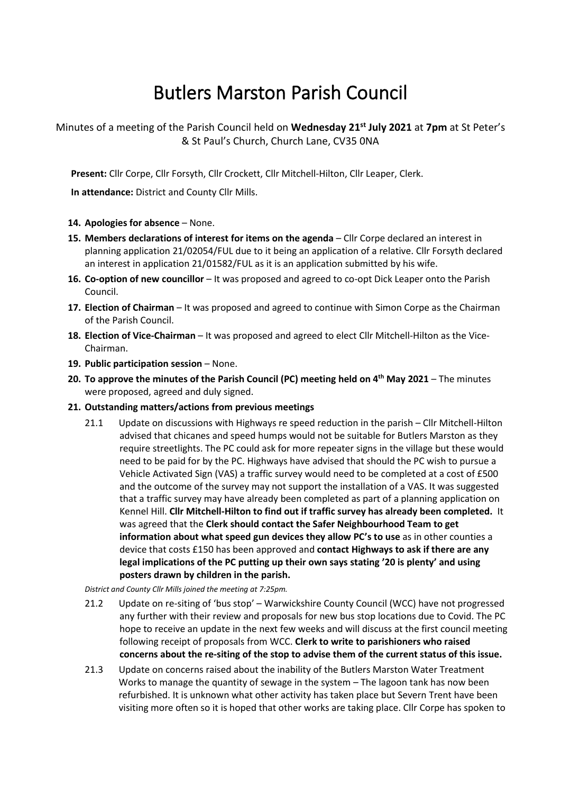# Butlers Marston Parish Council

Minutes of a meeting of the Parish Council held on **Wednesday 21st July 2021** at **7pm** at St Peter's & St Paul's Church, Church Lane, CV35 0NA

**Present:** Cllr Corpe, Cllr Forsyth, Cllr Crockett, Cllr Mitchell-Hilton, Cllr Leaper, Clerk.

**In attendance:** District and County Cllr Mills.

# **14. Apologies for absence** – None.

- **15. Members declarations of interest for items on the agenda** Cllr Corpe declared an interest in planning application 21/02054/FUL due to it being an application of a relative. Cllr Forsyth declared an interest in application 21/01582/FUL as it is an application submitted by his wife.
- **16. Co-option of new councillor** It was proposed and agreed to co-opt Dick Leaper onto the Parish Council.
- **17. Election of Chairman** It was proposed and agreed to continue with Simon Corpe as the Chairman of the Parish Council.
- **18. Election of Vice-Chairman** It was proposed and agreed to elect Cllr Mitchell-Hilton as the Vice-Chairman.
- **19. Public participation session**  None.
- **20. To approve the minutes of the Parish Council (PC) meeting held on 4 th May 2021** The minutes were proposed, agreed and duly signed.
- **21. Outstanding matters/actions from previous meetings**
	- 21.1 Update on discussions with Highways re speed reduction in the parish Cllr Mitchell-Hilton advised that chicanes and speed humps would not be suitable for Butlers Marston as they require streetlights. The PC could ask for more repeater signs in the village but these would need to be paid for by the PC. Highways have advised that should the PC wish to pursue a Vehicle Activated Sign (VAS) a traffic survey would need to be completed at a cost of £500 and the outcome of the survey may not support the installation of a VAS. It was suggested that a traffic survey may have already been completed as part of a planning application on Kennel Hill. **Cllr Mitchell-Hilton to find out if traffic survey has already been completed.** It was agreed that the **Clerk should contact the Safer Neighbourhood Team to get information about what speed gun devices they allow PC's to use** as in other counties a device that costs £150 has been approved and **contact Highways to ask if there are any legal implications of the PC putting up their own says stating '20 is plenty' and using posters drawn by children in the parish.**

*District and County Cllr Mills joined the meeting at 7:25pm.* 

- 21.2 Update on re-siting of 'bus stop' Warwickshire County Council (WCC) have not progressed any further with their review and proposals for new bus stop locations due to Covid. The PC hope to receive an update in the next few weeks and will discuss at the first council meeting following receipt of proposals from WCC. **Clerk to write to parishioners who raised concerns about the re-siting of the stop to advise them of the current status of this issue.**
- 21.3 Update on concerns raised about the inability of the Butlers Marston Water Treatment Works to manage the quantity of sewage in the system – The lagoon tank has now been refurbished. It is unknown what other activity has taken place but Severn Trent have been visiting more often so it is hoped that other works are taking place. Cllr Corpe has spoken to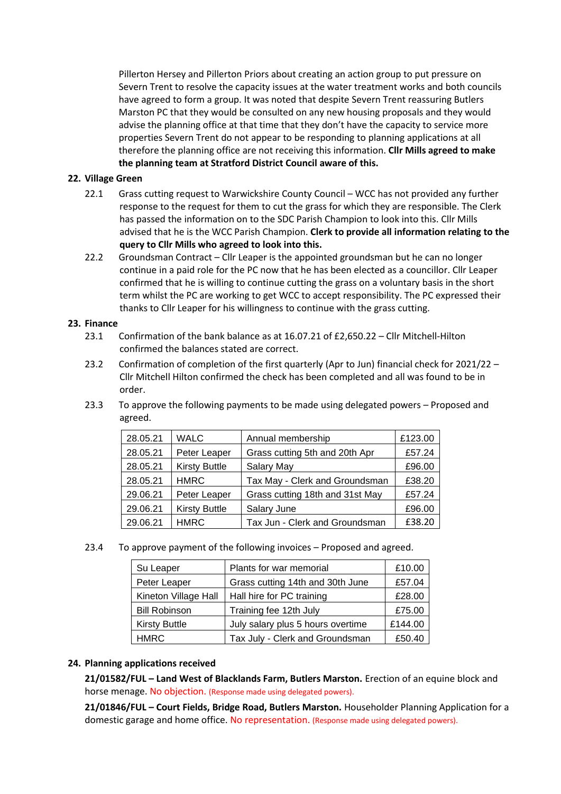Pillerton Hersey and Pillerton Priors about creating an action group to put pressure on Severn Trent to resolve the capacity issues at the water treatment works and both councils have agreed to form a group. It was noted that despite Severn Trent reassuring Butlers Marston PC that they would be consulted on any new housing proposals and they would advise the planning office at that time that they don't have the capacity to service more properties Severn Trent do not appear to be responding to planning applications at all therefore the planning office are not receiving this information. **Cllr Mills agreed to make the planning team at Stratford District Council aware of this.**

## **22. Village Green**

- 22.1 Grass cutting request to Warwickshire County Council WCC has not provided any further response to the request for them to cut the grass for which they are responsible. The Clerk has passed the information on to the SDC Parish Champion to look into this. Cllr Mills advised that he is the WCC Parish Champion. **Clerk to provide all information relating to the query to Cllr Mills who agreed to look into this.**
- 22.2 Groundsman Contract Cllr Leaper is the appointed groundsman but he can no longer continue in a paid role for the PC now that he has been elected as a councillor. Cllr Leaper confirmed that he is willing to continue cutting the grass on a voluntary basis in the short term whilst the PC are working to get WCC to accept responsibility. The PC expressed their thanks to Cllr Leaper for his willingness to continue with the grass cutting.

### **23. Finance**

- 23.1 Confirmation of the bank balance as at 16.07.21 of £2,650.22 Cllr Mitchell-Hilton confirmed the balances stated are correct.
- 23.2 Confirmation of completion of the first quarterly (Apr to Jun) financial check for 2021/22 Cllr Mitchell Hilton confirmed the check has been completed and all was found to be in order.
- 23.3 To approve the following payments to be made using delegated powers Proposed and agreed.

| 28.05.21 | <b>WALC</b>          | Annual membership               | £123.00 |
|----------|----------------------|---------------------------------|---------|
| 28.05.21 | Peter Leaper         | Grass cutting 5th and 20th Apr  | £57.24  |
| 28.05.21 | <b>Kirsty Buttle</b> | Salary May                      | £96.00  |
| 28.05.21 | <b>HMRC</b>          | Tax May - Clerk and Groundsman  | £38.20  |
| 29.06.21 | Peter Leaper         | Grass cutting 18th and 31st May | £57.24  |
| 29.06.21 | <b>Kirsty Buttle</b> | Salary June                     | £96.00  |
| 29.06.21 | <b>HMRC</b>          | Tax Jun - Clerk and Groundsman  | £38.20  |

23.4 To approve payment of the following invoices – Proposed and agreed.

| Su Leaper            | Plants for war memorial           | £10.00  |
|----------------------|-----------------------------------|---------|
| Peter Leaper         | Grass cutting 14th and 30th June  | £57.04  |
| Kineton Village Hall | Hall hire for PC training         | £28.00  |
| <b>Bill Robinson</b> | Training fee 12th July            | £75.00  |
| <b>Kirsty Buttle</b> | July salary plus 5 hours overtime | £144.00 |
| <b>HMRC</b>          | Tax July - Clerk and Groundsman   | £50.40  |

### **24. Planning applications received**

**21/01582/FUL – Land West of Blacklands Farm, Butlers Marston.** Erection of an equine block and horse menage. No objection. (Response made using delegated powers).

**21/01846/FUL – Court Fields, Bridge Road, Butlers Marston.** Householder Planning Application for a domestic garage and home office. No representation. (Response made using delegated powers).